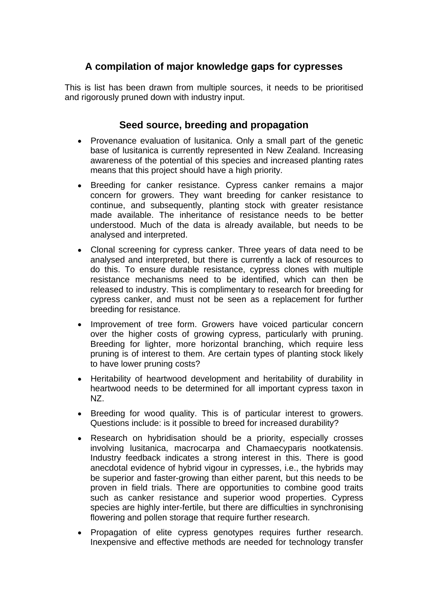# **A compilation of major knowledge gaps for cypresses**

This is list has been drawn from multiple sources, it needs to be prioritised and rigorously pruned down with industry input.

### **Seed source, breeding and propagation**

- Provenance evaluation of lusitanica. Only a small part of the genetic base of lusitanica is currently represented in New Zealand. Increasing awareness of the potential of this species and increased planting rates means that this project should have a high priority.
- Breeding for canker resistance. Cypress canker remains a major concern for growers. They want breeding for canker resistance to continue, and subsequently, planting stock with greater resistance made available. The inheritance of resistance needs to be better understood. Much of the data is already available, but needs to be analysed and interpreted.
- Clonal screening for cypress canker. Three years of data need to be analysed and interpreted, but there is currently a lack of resources to do this. To ensure durable resistance, cypress clones with multiple resistance mechanisms need to be identified, which can then be released to industry. This is complimentary to research for breeding for cypress canker, and must not be seen as a replacement for further breeding for resistance.
- Improvement of tree form. Growers have voiced particular concern  $\bullet$ over the higher costs of growing cypress, particularly with pruning. Breeding for lighter, more horizontal branching, which require less pruning is of interest to them. Are certain types of planting stock likely to have lower pruning costs?
- Heritability of heartwood development and heritability of durability in heartwood needs to be determined for all important cypress taxon in NZ.
- Breeding for wood quality. This is of particular interest to growers.  $\bullet$ Questions include: is it possible to breed for increased durability?
- Research on hybridisation should be a priority, especially crosses  $\bullet$ involving lusitanica, macrocarpa and Chamaecyparis nootkatensis. Industry feedback indicates a strong interest in this. There is good anecdotal evidence of hybrid vigour in cypresses, i.e., the hybrids may be superior and faster-growing than either parent, but this needs to be proven in field trials. There are opportunities to combine good traits such as canker resistance and superior wood properties. Cypress species are highly inter-fertile, but there are difficulties in synchronising flowering and pollen storage that require further research.
- Propagation of elite cypress genotypes requires further research.  $\bullet$ Inexpensive and effective methods are needed for technology transfer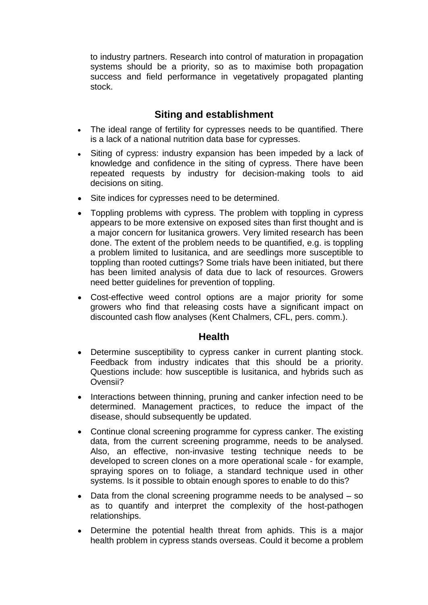to industry partners. Research into control of maturation in propagation systems should be a priority, so as to maximise both propagation success and field performance in vegetatively propagated planting stock. The contract of the contract of the contract of the contract of the contract of the contract of the contract of the contract of the contract of the contract of the contract of the contract of the contract of the con

### **Siting and establishment**

- The ideal range of fertility for cypresses needs to be quantified. There is a lack of a national nutrition data base for cypresses.
- Siting of cypress: industry expansion has been impeded by a lack of  $\bullet$ knowledge and confidence in the siting of cypress. There have been repeated requests by industry for decision-making tools to aid decisions on siting.
- Site indices for cypresses need to be determined.  $\bullet$
- Toppling problems with cypress. The problem with toppling in cypress appears to be more extensive on exposed sites than first thought and is a major concern for lusitanica growers. Very limited research has been done. The extent of the problem needs to be quantified, e.g. is toppling a problem limited to lusitanica, and are seedlings more susceptible to toppling than rooted cuttings? Some trials have been initiated, but there has been limited analysis of data due to lack of resources. Growers need better guidelines for prevention of toppling.
- Cost-effective weed control options are a major priority for some growers who find that releasing costs have a significant impact on discounted cash flow analyses (Kent Chalmers, CFL, pers. comm.).

#### **Health**

- Determine susceptibility to cypress canker in current planting stock.  $\bullet$ Feedback from industry indicates that this should be a priority. Questions include: how susceptible is lusitanica, and hybrids such as Ovensii?
- Interactions between thinning, pruning and canker infection need to be determined. Management practices, to reduce the impact of the disease, should subsequently be updated.
- Continue clonal screening programme for cypress canker. The existing data, from the current screening programme, needs to be analysed. Also, an effective, non-invasive testing technique needs to be developed to screen clones on a more operational scale - for example, spraying spores on to foliage, a standard technique used in other systems. Is it possible to obtain enough spores to enable to do this?
- Data from the clonal screening programme needs to be analysed  $-$  so  $\bullet$ as to quantify and interpret the complexity of the host-pathogen relationships.
- Determine the potential health threat from aphids. This is a major  $\bullet$ health problem in cypress stands overseas. Could it become a problem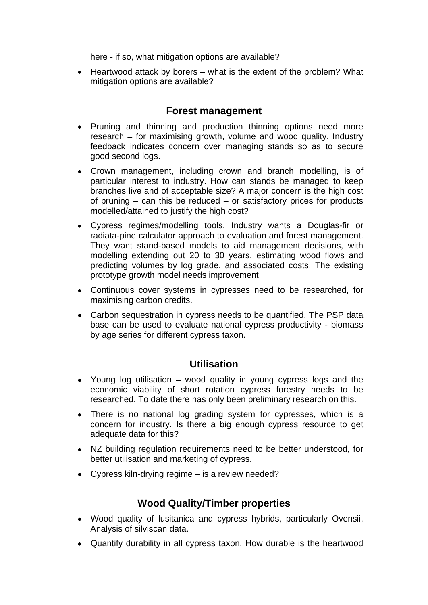here - if so, what mitigation options are available?

 $\bullet$  Heartwood attack by borers – what is the extent of the problem? What mitigation options are available?

#### **Forest management**

- Pruning and thinning and production thinning options need more  $\bullet$ research  $-$  for maximising growth, volume and wood quality. Industry feedback indicates concern over managing stands so as to secure good second logs.
- Crown management, including crown and branch modelling, is of particular interest to industry. How can stands be managed to keep branches live and of acceptable size? A major concern is the high cost of pruning  $-$  can this be reduced  $-$  or satisfactory prices for products modelled/attained to justify the high cost?
- Cypress regimes/modelling tools. Industry wants a Douglas-fir or radiata-pine calculator approach to evaluation and forest management. They want stand-based models to aid management decisions, with modelling extending out 20 to 30 years, estimating wood flows and predicting volumes by log grade, and associated costs. The existing prototype growth model needs improvement
- Continuous cover systems in cypresses need to be researched, for maximising carbon credits.
- Carbon sequestration in cypress needs to be quantified. The PSP data base can be used to evaluate national cypress productivity - biomass by age series for different cypress taxon.

## **Utilisation**

- Young log utilisation  $-$  wood quality in young cypress logs and the economic viability of short rotation cypress forestry needs to be researched. To date there has only been preliminary research on this.
- There is no national log grading system for cypresses, which is a concern for industry. Is there a big enough cypress resource to get adequate data for this?
- NZ building regulation requirements need to be better understood, for better utilisation and marketing of cypress.
- Cypress kiln-drying regime  $-$  is a review needed?

## **Wood Quality/Timber properties**

- Wood quality of lusitanica and cypress hybrids, particularly Ovensii. Analysis of silviscan data.
- Quantify durability in all cypress taxon. How durable is the heartwood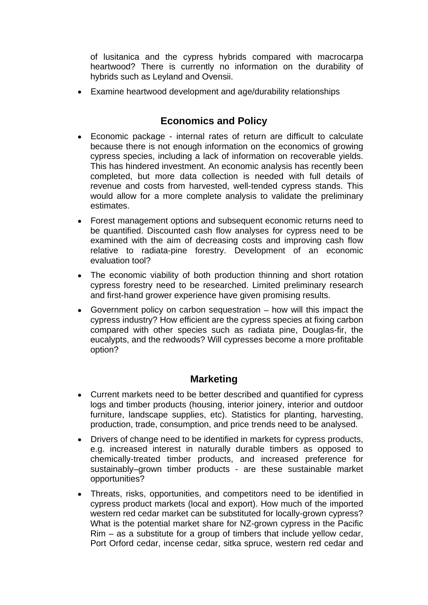of lusitanica and the cypress hybrids compared with macrocarpa heartwood? There is currently no information on the durability of hybrids such as Leyland and Ovensii.

Examine heartwood development and age/durability relationships  $\bullet$ 

## **Economics and Policy**

- $\bullet$ Economic package - internal rates of return are difficult to calculate because there is not enough information on the economics of growing cypress species, including a lack of information on recoverable yields. This has hindered investment. An economic analysis has recently been completed, but more data collection is needed with full details of revenue and costs from harvested, well-tended cypress stands. This would allow for a more complete analysis to validate the preliminary estimates. **Example 2008 Example 2008 Contract 2008 Contract 2008 Contract 2008 Contract 2008 Contract 2008**
- Forest management options and subsequent economic returns need to be quantified. Discounted cash flow analyses for cypress need to be examined with the aim of decreasing costs and improving cash flow relative to radiata-pine forestry. Development of an economic evaluation tool?
- The economic viability of both production thinning and short rotation cypress forestry need to be researched. Limited preliminary research and first-hand grower experience have given promising results.
- Government policy on carbon sequestration  $-$  how will this impact the cypress industry? How efficient are the cypress species at fixing carbon compared with other species such as radiata pine, Douglas-fir, the eucalypts, and the redwoods? Will cypresses become a more profitable option?

## **Marketing**

- Current markets need to be better described and quantified for cypress logs and timber products (housing, interior joinery, interior and outdoor furniture, landscape supplies, etc). Statistics for planting, harvesting, production, trade, consumption, and price trends need to be analysed.
- Drivers of change need to be identified in markets for cypress products,  $\bullet$ e.g. increased interest in naturally durable timbers as opposed to chemically-treated timber products, and increased preference for sustainably-grown timber products - are these sustainable market opportunities?
- Threats, risks, opportunities, and competitors need to be identified in cypress product markets (local and export). How much of the imported western red cedar market can be substituted for locally-grown cypress? What is the potential market share for NZ-grown cypress in the Pacific  $Rim - as a$  substitute for a group of timbers that include yellow cedar, Port Orford cedar, incense cedar, sitka spruce, western red cedar and